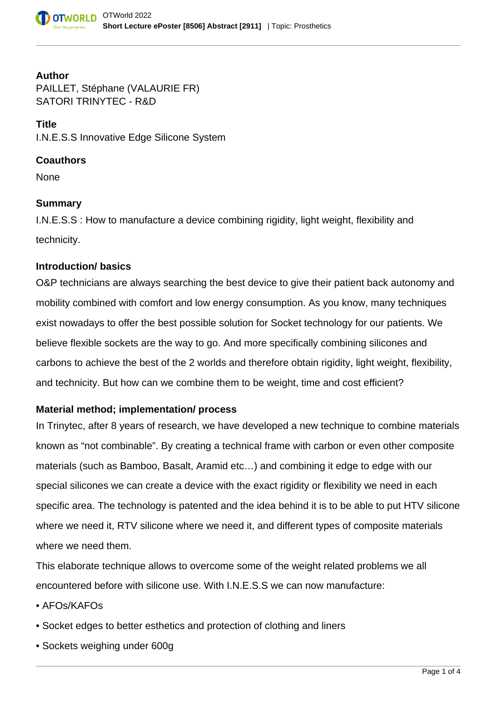#### **Author**

PAILLET, Stéphane (VALAURIE FR) SATORI TRINYTEC - R&D

## **Title**

I.N.E.S.S Innovative Edge Silicone System

# **Coauthors**

None

## **Summary**

I.N.E.S.S : How to manufacture a device combining rigidity, light weight, flexibility and technicity.

## **Introduction/ basics**

O&P technicians are always searching the best device to give their patient back autonomy and mobility combined with comfort and low energy consumption. As you know, many techniques exist nowadays to offer the best possible solution for Socket technology for our patients. We believe flexible sockets are the way to go. And more specifically combining silicones and carbons to achieve the best of the 2 worlds and therefore obtain rigidity, light weight, flexibility, and technicity. But how can we combine them to be weight, time and cost efficient?

# **Material method; implementation/ process**

In Trinytec, after 8 years of research, we have developed a new technique to combine materials known as "not combinable". By creating a technical frame with carbon or even other composite materials (such as Bamboo, Basalt, Aramid etc…) and combining it edge to edge with our special silicones we can create a device with the exact rigidity or flexibility we need in each specific area. The technology is patented and the idea behind it is to be able to put HTV silicone where we need it, RTV silicone where we need it, and different types of composite materials where we need them.

This elaborate technique allows to overcome some of the weight related problems we all encountered before with silicone use. With I.N.E.S.S we can now manufacture:

- AFOs/KAFOs
- Socket edges to better esthetics and protection of clothing and liners
- Sockets weighing under 600g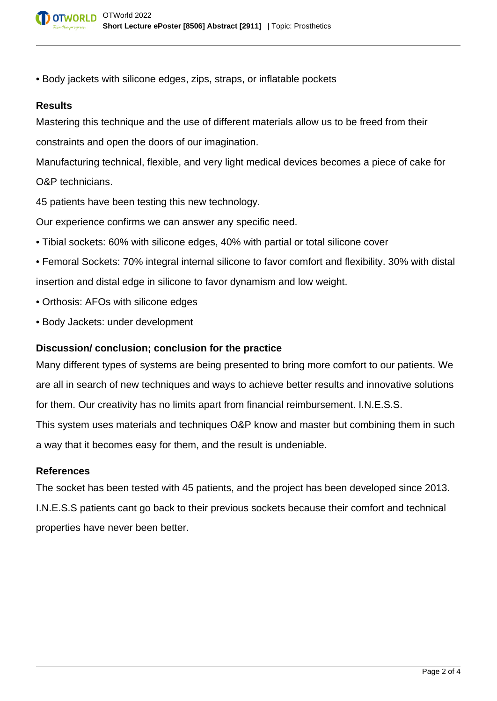• Body jackets with silicone edges, zips, straps, or inflatable pockets

### **Results**

Mastering this technique and the use of different materials allow us to be freed from their constraints and open the doors of our imagination.

Manufacturing technical, flexible, and very light medical devices becomes a piece of cake for O&P technicians.

45 patients have been testing this new technology.

Our experience confirms we can answer any specific need.

- Tibial sockets: 60% with silicone edges, 40% with partial or total silicone cover
- Femoral Sockets: 70% integral internal silicone to favor comfort and flexibility. 30% with distal insertion and distal edge in silicone to favor dynamism and low weight.
- Orthosis: AFOs with silicone edges
- Body Jackets: under development

### **Discussion/ conclusion; conclusion for the practice**

Many different types of systems are being presented to bring more comfort to our patients. We are all in search of new techniques and ways to achieve better results and innovative solutions for them. Our creativity has no limits apart from financial reimbursement. I.N.E.S.S.

This system uses materials and techniques O&P know and master but combining them in such a way that it becomes easy for them, and the result is undeniable.

#### **References**

The socket has been tested with 45 patients, and the project has been developed since 2013. I.N.E.S.S patients cant go back to their previous sockets because their comfort and technical properties have never been better.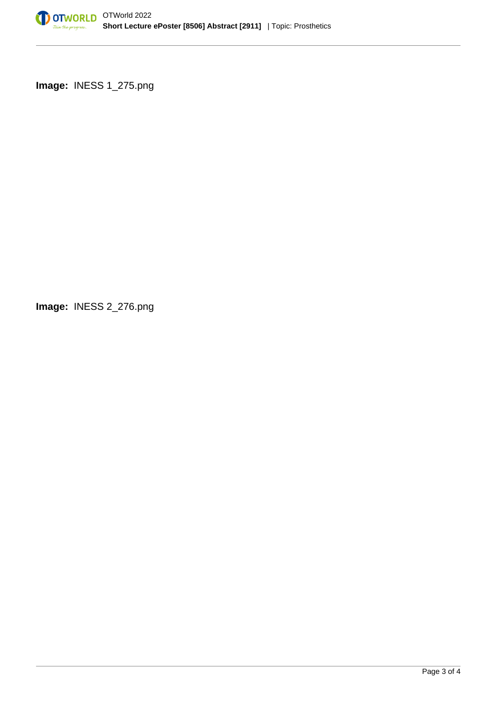

**Image:** INESS 1\_275.png

**Image:** INESS 2\_276.png